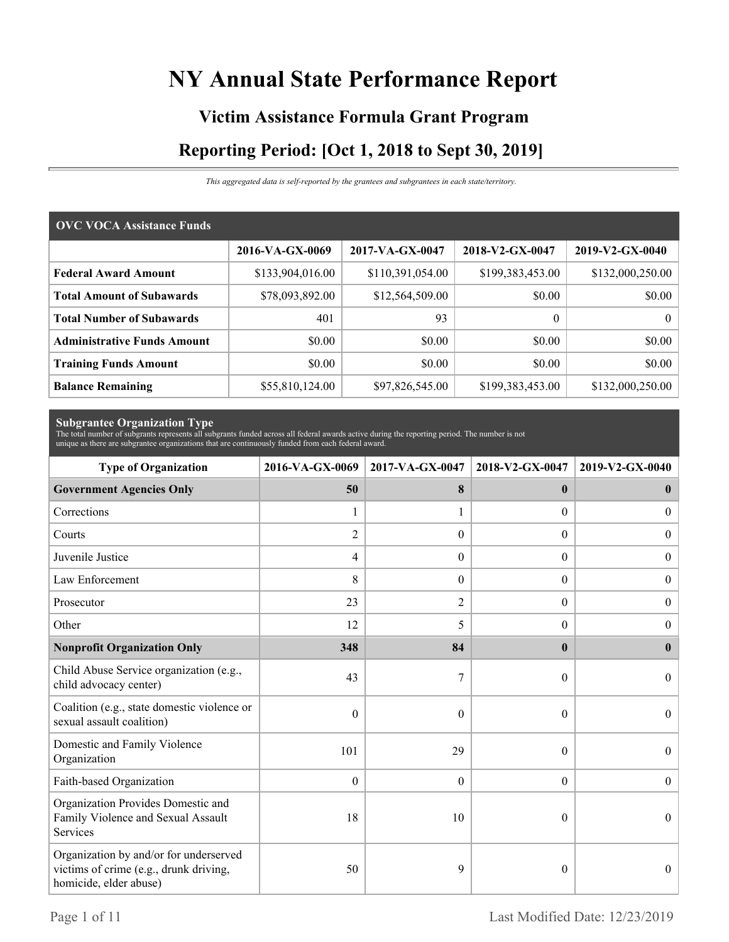# **NY Annual State Performance Report**

# **Victim Assistance Formula Grant Program Reporting Period: [Oct 1, 2018 to Sept 30, 2019]**

*This aggregated data is self-reported by the grantees and subgrantees in each state/territory.*

| <b>OVC VOCA Assistance Funds</b>   |                  |                  |                  |                  |  |  |  |
|------------------------------------|------------------|------------------|------------------|------------------|--|--|--|
|                                    | 2016-VA-GX-0069  | 2017-VA-GX-0047  | 2018-V2-GX-0047  | 2019-V2-GX-0040  |  |  |  |
| <b>Federal Award Amount</b>        | \$133,904,016.00 | \$110,391,054.00 | \$199,383,453.00 | \$132,000,250.00 |  |  |  |
| <b>Total Amount of Subawards</b>   | \$78,093,892.00  | \$12,564,509.00  | \$0.00           | \$0.00           |  |  |  |
| <b>Total Number of Subawards</b>   | 401              | 93               | $\boldsymbol{0}$ | $\overline{0}$   |  |  |  |
| <b>Administrative Funds Amount</b> | \$0.00           | \$0.00           | \$0.00           | \$0.00           |  |  |  |
| <b>Training Funds Amount</b>       | \$0.00           | \$0.00           | \$0.00           | \$0.00           |  |  |  |
| <b>Balance Remaining</b>           | \$55,810,124.00  | \$97,826,545.00  | \$199,383,453.00 | \$132,000,250.00 |  |  |  |

**Subgrantee Organization Type** The total number of subgrants represents all subgrants funded across all federal awards active during the reporting period. The number is not unique as there are subgrantee organizations that are continuously funded from each federal award.

| <b>Type of Organization</b>                                                                                | 2016-VA-GX-0069 | 2017-VA-GX-0047  | 2018-V2-GX-0047  | 2019-V2-GX-0040  |
|------------------------------------------------------------------------------------------------------------|-----------------|------------------|------------------|------------------|
| <b>Government Agencies Only</b>                                                                            | 50              | 8                | $\mathbf{0}$     | $\bf{0}$         |
| Corrections                                                                                                | 1               |                  | $\overline{0}$   | $\overline{0}$   |
| Courts                                                                                                     | $\overline{2}$  | $\Omega$         | $\Omega$         | $\mathbf{0}$     |
| Juvenile Justice                                                                                           | 4               | $\boldsymbol{0}$ | $\boldsymbol{0}$ | $\boldsymbol{0}$ |
| Law Enforcement                                                                                            | 8               | $\theta$         | $\overline{0}$   | $\boldsymbol{0}$ |
| Prosecutor                                                                                                 | 23              | 2                | $\Omega$         | $\boldsymbol{0}$ |
| Other                                                                                                      | 12              | 5                | $\theta$         | $\overline{0}$   |
| <b>Nonprofit Organization Only</b>                                                                         | 348             | 84               | $\mathbf{0}$     | $\mathbf{0}$     |
| Child Abuse Service organization (e.g.,<br>child advocacy center)                                          | 43              | 7                | $\theta$         | $\Omega$         |
| Coalition (e.g., state domestic violence or<br>sexual assault coalition)                                   | $\mathbf{0}$    | $\theta$         | $\theta$         | $\overline{0}$   |
| Domestic and Family Violence<br>Organization                                                               | 101             | 29               | $\boldsymbol{0}$ | $\boldsymbol{0}$ |
| Faith-based Organization                                                                                   | $\theta$        | $\theta$         | $\theta$         | $\theta$         |
| Organization Provides Domestic and<br>Family Violence and Sexual Assault<br>Services                       | 18              | 10               | $\theta$         | $\theta$         |
| Organization by and/or for underserved<br>victims of crime (e.g., drunk driving,<br>homicide, elder abuse) | 50              | 9                | $\theta$         | $\theta$         |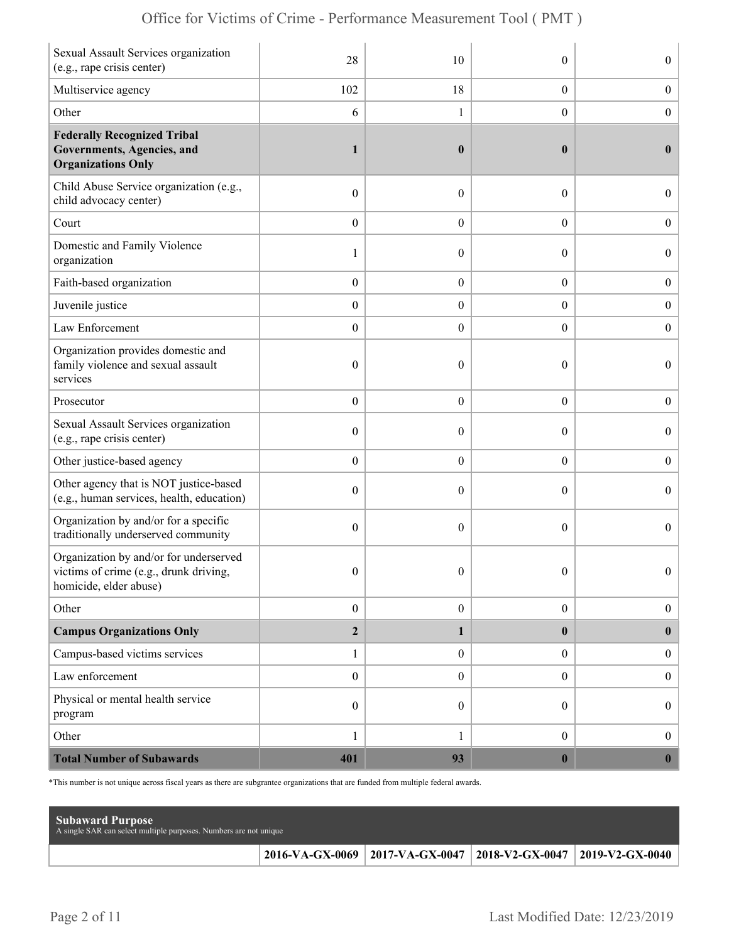|  | Office for Victims of Crime - Performance Measurement Tool (PMT) |  |  |  |  |
|--|------------------------------------------------------------------|--|--|--|--|
|--|------------------------------------------------------------------|--|--|--|--|

| Sexual Assault Services organization<br>(e.g., rape crisis center)                                         | 28               | 10               | $\theta$         | $\boldsymbol{0}$ |
|------------------------------------------------------------------------------------------------------------|------------------|------------------|------------------|------------------|
| Multiservice agency                                                                                        | 102              | 18               | $\overline{0}$   | $\boldsymbol{0}$ |
| Other                                                                                                      | 6                | 1                | $\theta$         | $\boldsymbol{0}$ |
| <b>Federally Recognized Tribal</b><br>Governments, Agencies, and<br><b>Organizations Only</b>              | $\mathbf{1}$     | $\boldsymbol{0}$ | $\bf{0}$         | $\bf{0}$         |
| Child Abuse Service organization (e.g.,<br>child advocacy center)                                          | $\boldsymbol{0}$ | $\theta$         | $\theta$         | $\overline{0}$   |
| Court                                                                                                      | $\boldsymbol{0}$ | $\theta$         | $\boldsymbol{0}$ | $\boldsymbol{0}$ |
| Domestic and Family Violence<br>organization                                                               | 1                | $\theta$         | $\boldsymbol{0}$ | $\boldsymbol{0}$ |
| Faith-based organization                                                                                   | $\boldsymbol{0}$ | $\boldsymbol{0}$ | $\boldsymbol{0}$ | $\boldsymbol{0}$ |
| Juvenile justice                                                                                           | $\boldsymbol{0}$ | $\theta$         | $\overline{0}$   | $\overline{0}$   |
| Law Enforcement                                                                                            | $\boldsymbol{0}$ | $\boldsymbol{0}$ | $\theta$         | $\boldsymbol{0}$ |
| Organization provides domestic and<br>family violence and sexual assault<br>services                       | $\boldsymbol{0}$ | $\mathbf{0}$     | $\theta$         | $\overline{0}$   |
| Prosecutor                                                                                                 | $\boldsymbol{0}$ | $\theta$         | $\boldsymbol{0}$ | $\boldsymbol{0}$ |
| Sexual Assault Services organization<br>(e.g., rape crisis center)                                         | $\boldsymbol{0}$ | $\theta$         | $\theta$         | $\boldsymbol{0}$ |
| Other justice-based agency                                                                                 | $\boldsymbol{0}$ | $\boldsymbol{0}$ | $\boldsymbol{0}$ | $\boldsymbol{0}$ |
| Other agency that is NOT justice-based<br>(e.g., human services, health, education)                        | $\boldsymbol{0}$ | $\theta$         | $\theta$         | $\overline{0}$   |
| Organization by and/or for a specific<br>traditionally underserved community                               | $\boldsymbol{0}$ | $\theta$         | $\theta$         | $\overline{0}$   |
| Organization by and/or for underserved<br>victims of crime (e.g., drunk driving,<br>homicide, elder abuse) | $\boldsymbol{0}$ | $\boldsymbol{0}$ | $\boldsymbol{0}$ | 0                |
| Other                                                                                                      | $\boldsymbol{0}$ | $\boldsymbol{0}$ | $\overline{0}$   | $\overline{0}$   |
| <b>Campus Organizations Only</b>                                                                           | $\overline{2}$   | 1                | $\bf{0}$         | $\bf{0}$         |
| Campus-based victims services                                                                              | $\mathbf{1}$     | $\overline{0}$   | $\overline{0}$   | $\mathbf{0}$     |
| Law enforcement                                                                                            | $\boldsymbol{0}$ | $\overline{0}$   | $\overline{0}$   | $\mathbf{0}$     |
| Physical or mental health service<br>program                                                               | $\boldsymbol{0}$ | $\mathbf{0}$     | $\overline{0}$   | $\boldsymbol{0}$ |
| Other                                                                                                      | 1                | 1                | $\boldsymbol{0}$ | $\boldsymbol{0}$ |
| <b>Total Number of Subawards</b>                                                                           | 401              | 93               | $\boldsymbol{0}$ | $\boldsymbol{0}$ |

\*This number is not unique across fiscal years as there are subgrantee organizations that are funded from multiple federal awards.

| <b>Subaward Purpose</b><br>A single SAR can select multiple purposes. Numbers are not unique |                                                                 |  |
|----------------------------------------------------------------------------------------------|-----------------------------------------------------------------|--|
|                                                                                              | 2016-VA-GX-0069 2017-VA-GX-0047 2018-V2-GX-0047 2019-V2-GX-0040 |  |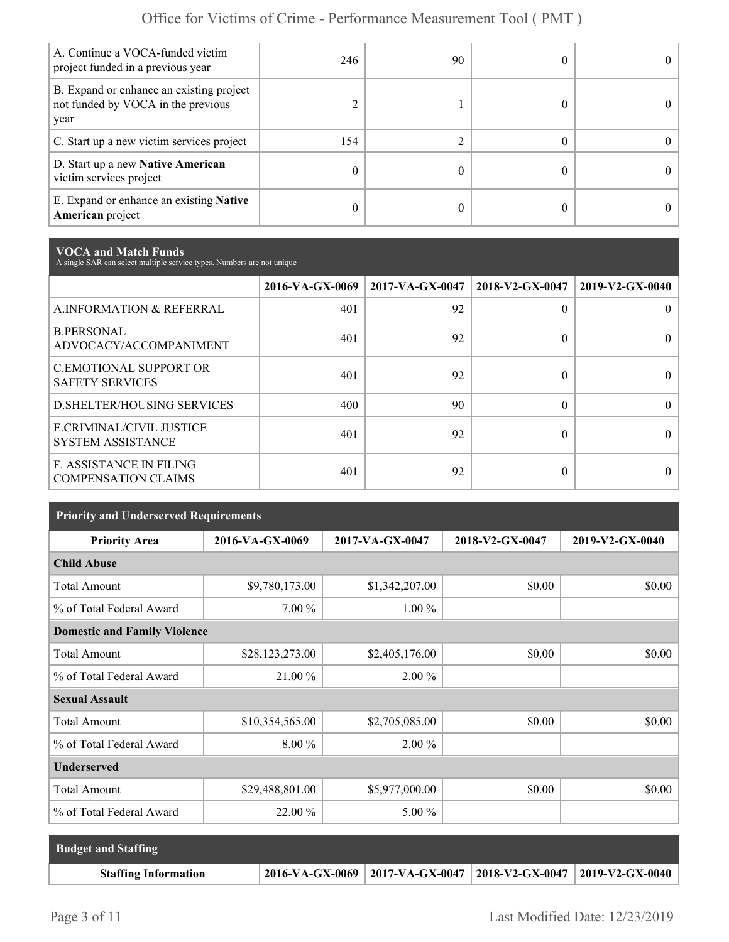| A. Continue a VOCA-funded victim<br>project funded in a previous year                  | 246 | 90 | 0          |
|----------------------------------------------------------------------------------------|-----|----|------------|
| B. Expand or enhance an existing project<br>not funded by VOCA in the previous<br>year |     |    | $\Omega$   |
| C. Start up a new victim services project                                              | 154 |    | 0          |
| D. Start up a new Native American<br>victim services project                           | 0   |    | $^{\circ}$ |
| E. Expand or enhance an existing <b>Native</b><br><b>American</b> project              | 0   |    | 0          |

**VOCA and Match Funds** A single SAR can select multiple service types. Numbers are not unique

|                                                              | 2016-VA-GX-0069 | $2017-VA-GX-0047$ | 2018-V2-GX-0047 | 2019-V2-GX-0040 |
|--------------------------------------------------------------|-----------------|-------------------|-----------------|-----------------|
| A.INFORMATION & REFERRAL                                     | 401             | 92                | 0               |                 |
| <b>B.PERSONAL</b><br>ADVOCACY/ACCOMPANIMENT                  | 401             | 92                | 0               |                 |
| <b>C.EMOTIONAL SUPPORT OR</b><br><b>SAFETY SERVICES</b>      | 401             | 92                | 0               |                 |
| <b>D.SHELTER/HOUSING SERVICES</b>                            | 400             | 90                | $\Omega$        | $\Omega$        |
| E.CRIMINAL/CIVIL JUSTICE<br><b>SYSTEM ASSISTANCE</b>         | 401             | 92                | 0               |                 |
| <b>F. ASSISTANCE IN FILING</b><br><b>COMPENSATION CLAIMS</b> | 401             | 92                | 0               |                 |

| <b>Priority and Underserved Requirements</b> |                 |                 |                 |                 |  |  |  |
|----------------------------------------------|-----------------|-----------------|-----------------|-----------------|--|--|--|
| <b>Priority Area</b>                         | 2016-VA-GX-0069 | 2017-VA-GX-0047 | 2018-V2-GX-0047 | 2019-V2-GX-0040 |  |  |  |
| <b>Child Abuse</b>                           |                 |                 |                 |                 |  |  |  |
| <b>Total Amount</b>                          | \$9,780,173.00  | \$1,342,207.00  | \$0.00          | \$0.00          |  |  |  |
| % of Total Federal Award                     | $7.00\%$        | $1.00\%$        |                 |                 |  |  |  |
| <b>Domestic and Family Violence</b>          |                 |                 |                 |                 |  |  |  |
| <b>Total Amount</b>                          | \$28,123,273.00 | \$2,405,176.00  | \$0.00          | \$0.00          |  |  |  |
| % of Total Federal Award                     | 21.00 %         | $2.00\%$        |                 |                 |  |  |  |
| <b>Sexual Assault</b>                        |                 |                 |                 |                 |  |  |  |
| <b>Total Amount</b>                          | \$10,354,565.00 | \$2,705,085.00  | \$0.00          | \$0.00          |  |  |  |
| % of Total Federal Award                     | 8.00 %          | 2.00 %          |                 |                 |  |  |  |
| <b>Underserved</b>                           |                 |                 |                 |                 |  |  |  |
| <b>Total Amount</b>                          | \$29,488,801.00 | \$5,977,000.00  | \$0.00          | \$0.00          |  |  |  |
| % of Total Federal Award                     | 22.00 %         | $5.00\%$        |                 |                 |  |  |  |

| <b>Budget and Staffing</b>  |                                                                 |  |
|-----------------------------|-----------------------------------------------------------------|--|
| <b>Staffing Information</b> | 2016-VA-GX-0069 2017-VA-GX-0047 2018-V2-GX-0047 2019-V2-GX-0040 |  |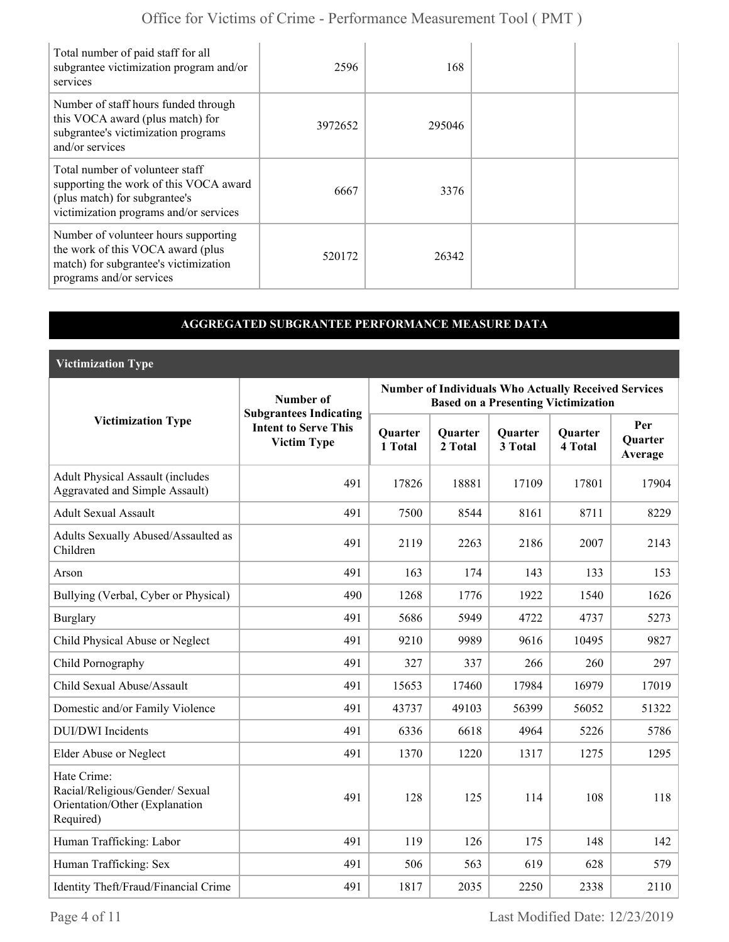| Total number of paid staff for all<br>subgrantee victimization program and/or<br>services                                                            | 2596    | 168    |  |
|------------------------------------------------------------------------------------------------------------------------------------------------------|---------|--------|--|
| Number of staff hours funded through<br>this VOCA award (plus match) for<br>subgrantee's victimization programs<br>and/or services                   | 3972652 | 295046 |  |
| Total number of volunteer staff<br>supporting the work of this VOCA award<br>(plus match) for subgrantee's<br>victimization programs and/or services | 6667    | 3376   |  |
| Number of volunteer hours supporting<br>the work of this VOCA award (plus<br>match) for subgrantee's victimization<br>programs and/or services       | 520172  | 26342  |  |

### **AGGREGATED SUBGRANTEE PERFORMANCE MEASURE DATA**

**Victimization Type**

|                                                                                               | Number of                                                                          | <b>Number of Individuals Who Actually Received Services</b><br><b>Based on a Presenting Victimization</b> |                    |                    |                           |                           |
|-----------------------------------------------------------------------------------------------|------------------------------------------------------------------------------------|-----------------------------------------------------------------------------------------------------------|--------------------|--------------------|---------------------------|---------------------------|
| <b>Victimization Type</b>                                                                     | <b>Subgrantees Indicating</b><br><b>Intent to Serve This</b><br><b>Victim Type</b> | Quarter<br>1 Total                                                                                        | Quarter<br>2 Total | Quarter<br>3 Total | <b>Quarter</b><br>4 Total | Per<br>Quarter<br>Average |
| <b>Adult Physical Assault (includes</b><br>Aggravated and Simple Assault)                     | 491                                                                                | 17826                                                                                                     | 18881              | 17109              | 17801                     | 17904                     |
| <b>Adult Sexual Assault</b>                                                                   | 491                                                                                | 7500                                                                                                      | 8544               | 8161               | 8711                      | 8229                      |
| Adults Sexually Abused/Assaulted as<br>Children                                               | 491                                                                                | 2119                                                                                                      | 2263               | 2186               | 2007                      | 2143                      |
| Arson                                                                                         | 491                                                                                | 163                                                                                                       | 174                | 143                | 133                       | 153                       |
| Bullying (Verbal, Cyber or Physical)                                                          | 490                                                                                | 1268                                                                                                      | 1776               | 1922               | 1540                      | 1626                      |
| <b>Burglary</b>                                                                               | 491                                                                                | 5686                                                                                                      | 5949               | 4722               | 4737                      | 5273                      |
| Child Physical Abuse or Neglect                                                               | 491                                                                                | 9210                                                                                                      | 9989               | 9616               | 10495                     | 9827                      |
| Child Pornography                                                                             | 491                                                                                | 327                                                                                                       | 337                | 266                | 260                       | 297                       |
| Child Sexual Abuse/Assault                                                                    | 491                                                                                | 15653                                                                                                     | 17460              | 17984              | 16979                     | 17019                     |
| Domestic and/or Family Violence                                                               | 491                                                                                | 43737                                                                                                     | 49103              | 56399              | 56052                     | 51322                     |
| <b>DUI/DWI</b> Incidents                                                                      | 491                                                                                | 6336                                                                                                      | 6618               | 4964               | 5226                      | 5786                      |
| Elder Abuse or Neglect                                                                        | 491                                                                                | 1370                                                                                                      | 1220               | 1317               | 1275                      | 1295                      |
| Hate Crime:<br>Racial/Religious/Gender/ Sexual<br>Orientation/Other (Explanation<br>Required) | 491                                                                                | 128                                                                                                       | 125                | 114                | 108                       | 118                       |
| Human Trafficking: Labor                                                                      | 491                                                                                | 119                                                                                                       | 126                | 175                | 148                       | 142                       |
| Human Trafficking: Sex                                                                        | 491                                                                                | 506                                                                                                       | 563                | 619                | 628                       | 579                       |
| Identity Theft/Fraud/Financial Crime                                                          | 491                                                                                | 1817                                                                                                      | 2035               | 2250               | 2338                      | 2110                      |

Page 4 of 11 Last Modified Date:  $12/23/2019$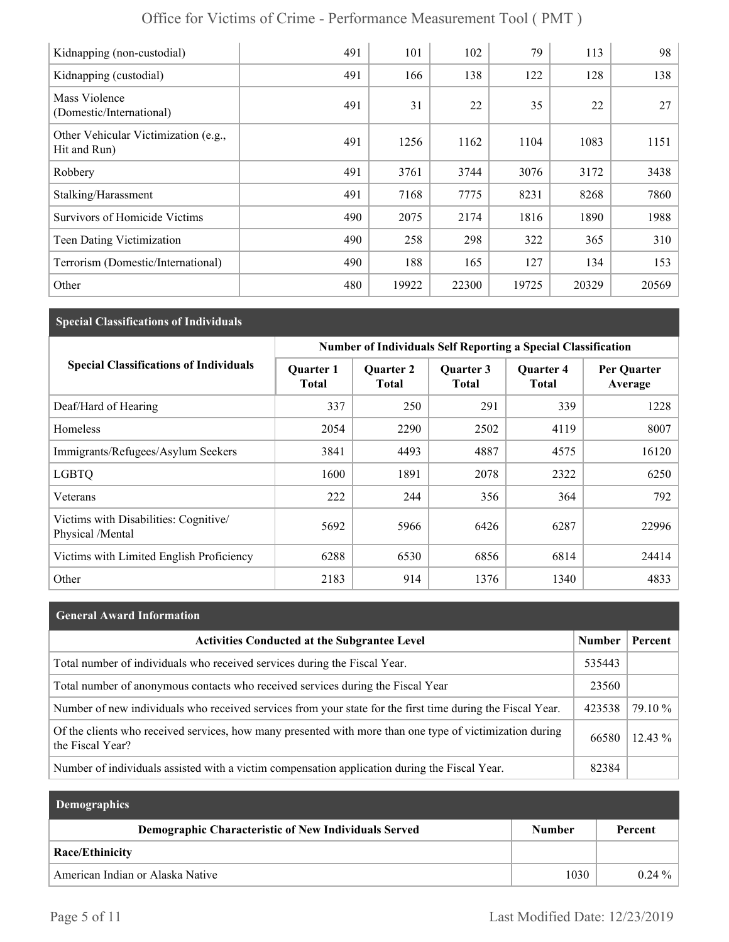| Kidnapping (non-custodial)                           | 491 | 101   | 102   | 79    | 113   | 98    |
|------------------------------------------------------|-----|-------|-------|-------|-------|-------|
| Kidnapping (custodial)                               | 491 | 166   | 138   | 122   | 128   | 138   |
| Mass Violence<br>(Domestic/International)            | 491 | 31    | 22    | 35    | 22    | 27    |
| Other Vehicular Victimization (e.g.,<br>Hit and Run) | 491 | 1256  | 1162  | 1104  | 1083  | 1151  |
| Robbery                                              | 491 | 3761  | 3744  | 3076  | 3172  | 3438  |
| Stalking/Harassment                                  | 491 | 7168  | 7775  | 8231  | 8268  | 7860  |
| <b>Survivors of Homicide Victims</b>                 | 490 | 2075  | 2174  | 1816  | 1890  | 1988  |
| Teen Dating Victimization                            | 490 | 258   | 298   | 322   | 365   | 310   |
| Terrorism (Domestic/International)                   | 490 | 188   | 165   | 127   | 134   | 153   |
| Other                                                | 480 | 19922 | 22300 | 19725 | 20329 | 20569 |

## **Special Classifications of Individuals**

|                                                           | <b>Number of Individuals Self Reporting a Special Classification</b> |                                  |                    |                           |                        |
|-----------------------------------------------------------|----------------------------------------------------------------------|----------------------------------|--------------------|---------------------------|------------------------|
| <b>Special Classifications of Individuals</b>             | <b>Quarter 1</b><br><b>Total</b>                                     | <b>Quarter 2</b><br><b>Total</b> | Quarter 3<br>Total | <b>Ouarter 4</b><br>Total | Per Quarter<br>Average |
| Deaf/Hard of Hearing                                      | 337                                                                  | 250                              | 291                | 339                       | 1228                   |
| Homeless                                                  | 2054                                                                 | 2290                             | 2502               | 4119                      | 8007                   |
| Immigrants/Refugees/Asylum Seekers                        | 3841                                                                 | 4493                             | 4887               | 4575                      | 16120                  |
| <b>LGBTQ</b>                                              | 1600                                                                 | 1891                             | 2078               | 2322                      | 6250                   |
| Veterans                                                  | 222                                                                  | 244                              | 356                | 364                       | 792                    |
| Victims with Disabilities: Cognitive/<br>Physical /Mental | 5692                                                                 | 5966                             | 6426               | 6287                      | 22996                  |
| Victims with Limited English Proficiency                  | 6288                                                                 | 6530                             | 6856               | 6814                      | 24414                  |
| Other                                                     | 2183                                                                 | 914                              | 1376               | 1340                      | 4833                   |

| <b>General Award Information</b>                                                                                             |               |           |
|------------------------------------------------------------------------------------------------------------------------------|---------------|-----------|
| <b>Activities Conducted at the Subgrantee Level</b>                                                                          | <b>Number</b> | Percent   |
| Total number of individuals who received services during the Fiscal Year.                                                    | 535443        |           |
| Total number of anonymous contacts who received services during the Fiscal Year                                              | 23560         |           |
| Number of new individuals who received services from your state for the first time during the Fiscal Year.                   | 423538        | 79.10 %   |
| Of the clients who received services, how many presented with more than one type of victimization during<br>the Fiscal Year? | 66580         | $12.43\%$ |
| Number of individuals assisted with a victim compensation application during the Fiscal Year.                                | 82384         |           |

| <b>Demographics</b>                                  |               |           |
|------------------------------------------------------|---------------|-----------|
| Demographic Characteristic of New Individuals Served | <b>Number</b> | Percent   |
| Race/Ethinicity                                      |               |           |
| American Indian or Alaska Native                     | 1030          | $0.24 \%$ |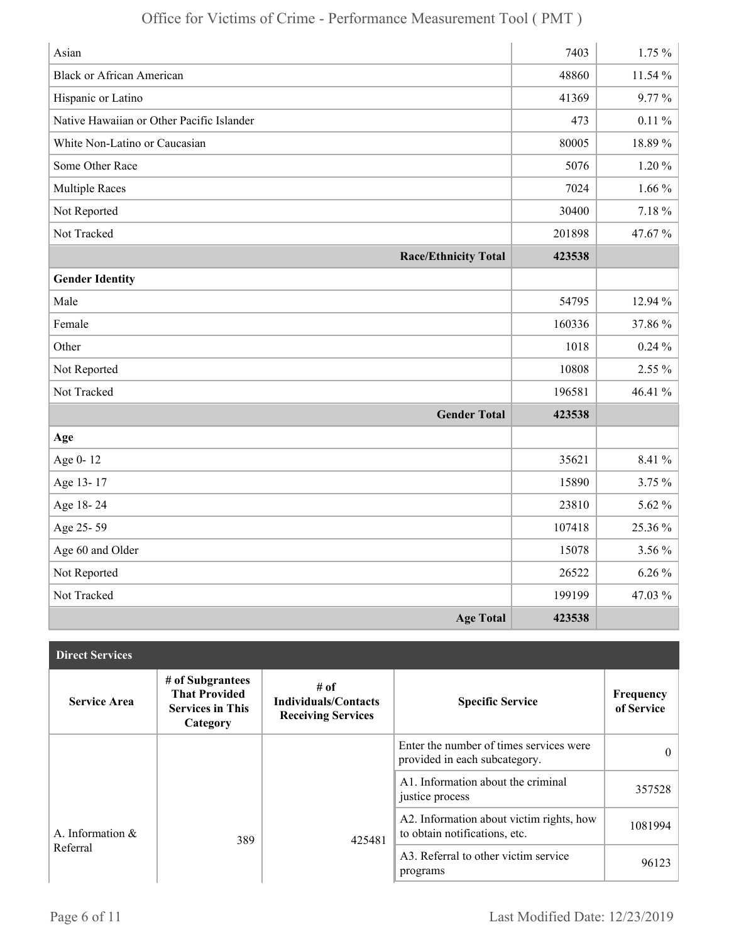| Asian                                     | 7403   | 1.75%     |
|-------------------------------------------|--------|-----------|
| <b>Black or African American</b>          | 48860  | 11.54 %   |
| Hispanic or Latino                        | 41369  | 9.77%     |
| Native Hawaiian or Other Pacific Islander | 473    | $0.11\%$  |
| White Non-Latino or Caucasian             | 80005  | 18.89%    |
| Some Other Race                           | 5076   | $1.20 \%$ |
| <b>Multiple Races</b>                     | 7024   | $1.66\%$  |
| Not Reported                              | 30400  | $7.18 \%$ |
| Not Tracked                               | 201898 | 47.67%    |
| <b>Race/Ethnicity Total</b>               | 423538 |           |
| <b>Gender Identity</b>                    |        |           |
| Male                                      | 54795  | 12.94 %   |
| Female                                    | 160336 | 37.86%    |
| Other                                     | 1018   | $0.24\%$  |
| Not Reported                              | 10808  | 2.55 %    |
| Not Tracked                               | 196581 | 46.41 %   |
| <b>Gender Total</b>                       | 423538 |           |
| Age                                       |        |           |
| Age 0-12                                  | 35621  | 8.41 %    |
| Age 13-17                                 | 15890  | 3.75 %    |
| Age 18-24                                 | 23810  | 5.62 %    |
| Age 25-59                                 | 107418 | 25.36 %   |
| Age 60 and Older                          | 15078  | 3.56 %    |
| Not Reported                              | 26522  | $6.26\%$  |
| Not Tracked                               | 199199 | 47.03 %   |
| <b>Age Total</b>                          | 423538 |           |

| <b>Direct Services</b> |                                                                                 |                                                                  |                                                                           |                         |
|------------------------|---------------------------------------------------------------------------------|------------------------------------------------------------------|---------------------------------------------------------------------------|-------------------------|
| <b>Service Area</b>    | # of Subgrantees<br><b>That Provided</b><br><b>Services in This</b><br>Category | # of<br><b>Individuals/Contacts</b><br><b>Receiving Services</b> | <b>Specific Service</b>                                                   | Frequency<br>of Service |
|                        |                                                                                 |                                                                  | Enter the number of times services were<br>provided in each subcategory.  | $\theta$                |
|                        |                                                                                 |                                                                  | A1. Information about the criminal<br>justice process                     | 357528                  |
| A. Information $\&$    | 389                                                                             | 425481                                                           | A2. Information about victim rights, how<br>to obtain notifications, etc. | 1081994                 |
| Referral               |                                                                                 |                                                                  | A3. Referral to other victim service<br>programs                          | 96123                   |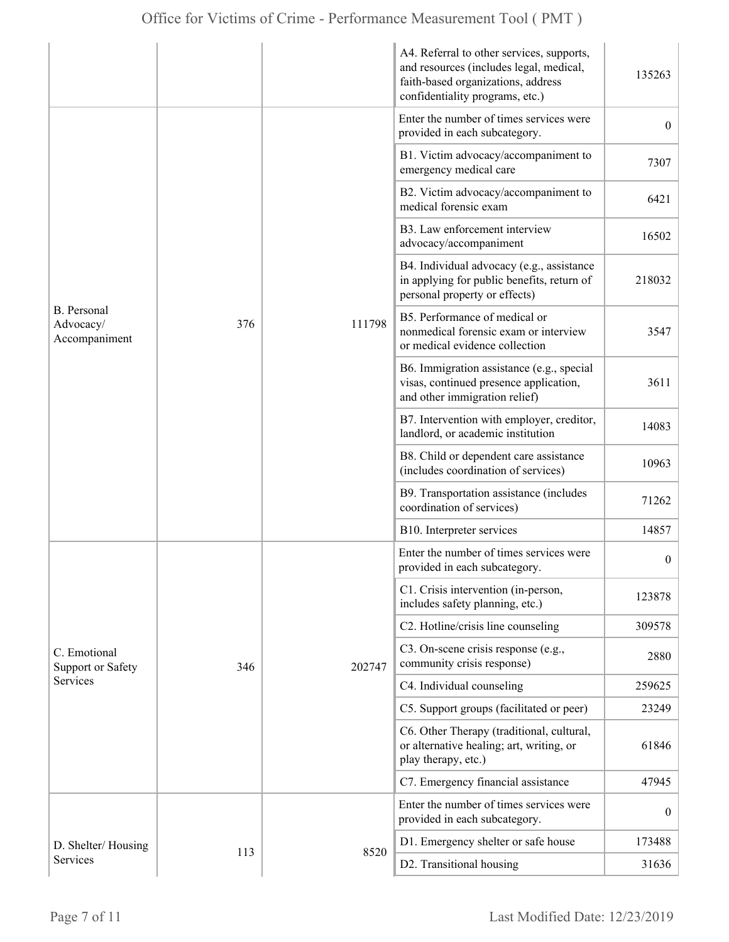|                                                  |     |        | A4. Referral to other services, supports,<br>and resources (includes legal, medical,<br>faith-based organizations, address<br>confidentiality programs, etc.) | 135263           |
|--------------------------------------------------|-----|--------|---------------------------------------------------------------------------------------------------------------------------------------------------------------|------------------|
|                                                  |     | 111798 | Enter the number of times services were<br>provided in each subcategory.                                                                                      | $\overline{0}$   |
|                                                  |     |        | B1. Victim advocacy/accompaniment to<br>emergency medical care                                                                                                | 7307             |
|                                                  |     |        | B2. Victim advocacy/accompaniment to<br>medical forensic exam                                                                                                 | 6421             |
|                                                  |     |        | B3. Law enforcement interview<br>advocacy/accompaniment                                                                                                       | 16502            |
| <b>B.</b> Personal<br>Advocacy/<br>Accompaniment |     |        | B4. Individual advocacy (e.g., assistance<br>in applying for public benefits, return of<br>personal property or effects)                                      | 218032           |
|                                                  | 376 |        | B5. Performance of medical or<br>nonmedical forensic exam or interview<br>or medical evidence collection                                                      | 3547             |
|                                                  |     |        | B6. Immigration assistance (e.g., special<br>visas, continued presence application,<br>and other immigration relief)                                          | 3611             |
|                                                  |     |        | B7. Intervention with employer, creditor,<br>landlord, or academic institution                                                                                | 14083            |
|                                                  |     |        | B8. Child or dependent care assistance<br>(includes coordination of services)                                                                                 | 10963            |
|                                                  |     |        | B9. Transportation assistance (includes<br>coordination of services)                                                                                          | 71262            |
|                                                  |     |        | B10. Interpreter services                                                                                                                                     | 14857            |
|                                                  |     | 202747 | Enter the number of times services were<br>provided in each subcategory.                                                                                      | $\boldsymbol{0}$ |
|                                                  |     |        | C1. Crisis intervention (in-person,<br>includes safety planning, etc.)                                                                                        | 123878           |
|                                                  |     |        | C2. Hotline/crisis line counseling                                                                                                                            | 309578           |
| C. Emotional<br><b>Support or Safety</b>         | 346 |        | C3. On-scene crisis response (e.g.,<br>community crisis response)                                                                                             | 2880             |
| Services                                         |     |        | C4. Individual counseling                                                                                                                                     | 259625           |
|                                                  |     |        | C5. Support groups (facilitated or peer)                                                                                                                      | 23249            |
|                                                  |     |        | C6. Other Therapy (traditional, cultural,<br>or alternative healing; art, writing, or<br>play therapy, etc.)                                                  | 61846            |
|                                                  |     |        | C7. Emergency financial assistance                                                                                                                            | 47945            |
|                                                  | 113 | 8520   | Enter the number of times services were<br>provided in each subcategory.                                                                                      | $\mathbf{0}$     |
| D. Shelter/Housing                               |     |        | D1. Emergency shelter or safe house                                                                                                                           | 173488           |
| Services                                         |     |        | D2. Transitional housing                                                                                                                                      | 31636            |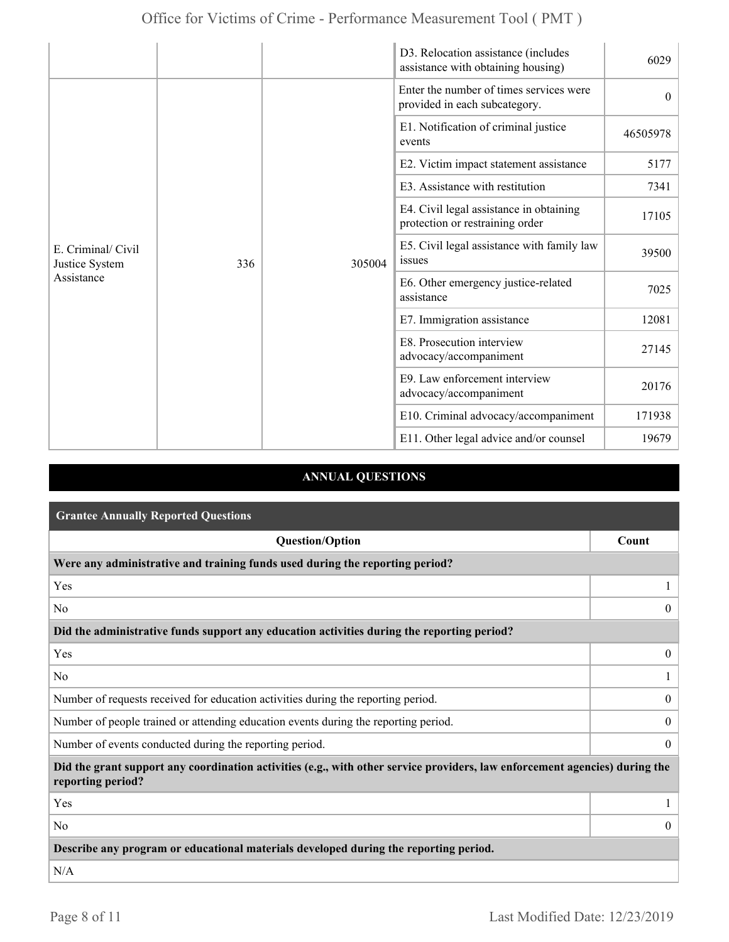|                                                    |     |                                                     | D3. Relocation assistance (includes<br>assistance with obtaining housing)  | 6029     |
|----------------------------------------------------|-----|-----------------------------------------------------|----------------------------------------------------------------------------|----------|
| E. Criminal/ Civil<br>Justice System<br>Assistance |     |                                                     | Enter the number of times services were<br>provided in each subcategory.   | $\theta$ |
|                                                    |     |                                                     | E1. Notification of criminal justice<br>events                             | 46505978 |
|                                                    |     | 305004                                              | E2. Victim impact statement assistance                                     | 5177     |
|                                                    |     |                                                     | E3. Assistance with restitution                                            | 7341     |
|                                                    |     |                                                     | E4. Civil legal assistance in obtaining<br>protection or restraining order | 17105    |
|                                                    | 336 |                                                     | E5. Civil legal assistance with family law<br>issues                       | 39500    |
|                                                    |     |                                                     | E6. Other emergency justice-related<br>assistance                          | 7025     |
|                                                    |     |                                                     | E7. Immigration assistance                                                 | 12081    |
|                                                    |     | E8. Prosecution interview<br>advocacy/accompaniment | 27145                                                                      |          |
|                                                    |     |                                                     | E9. Law enforcement interview<br>advocacy/accompaniment                    | 20176    |
|                                                    |     |                                                     | E10. Criminal advocacy/accompaniment                                       | 171938   |
|                                                    |     |                                                     | E11. Other legal advice and/or counsel                                     | 19679    |

## **ANNUAL QUESTIONS**

| <b>Grantee Annually Reported Questions</b>                                                                                                       |                  |  |  |
|--------------------------------------------------------------------------------------------------------------------------------------------------|------------------|--|--|
| <b>Question/Option</b>                                                                                                                           | Count            |  |  |
| Were any administrative and training funds used during the reporting period?                                                                     |                  |  |  |
| Yes                                                                                                                                              |                  |  |  |
| N <sub>0</sub>                                                                                                                                   | $\overline{0}$   |  |  |
| Did the administrative funds support any education activities during the reporting period?                                                       |                  |  |  |
| Yes                                                                                                                                              | $\overline{0}$   |  |  |
| N <sub>0</sub>                                                                                                                                   |                  |  |  |
| Number of requests received for education activities during the reporting period.                                                                | $\mathbf{0}$     |  |  |
| Number of people trained or attending education events during the reporting period.                                                              | $\boldsymbol{0}$ |  |  |
| Number of events conducted during the reporting period.                                                                                          |                  |  |  |
| Did the grant support any coordination activities (e.g., with other service providers, law enforcement agencies) during the<br>reporting period? |                  |  |  |
| Yes                                                                                                                                              |                  |  |  |
| N <sub>0</sub>                                                                                                                                   | $\theta$         |  |  |
| Describe any program or educational materials developed during the reporting period.                                                             |                  |  |  |
| N/A                                                                                                                                              |                  |  |  |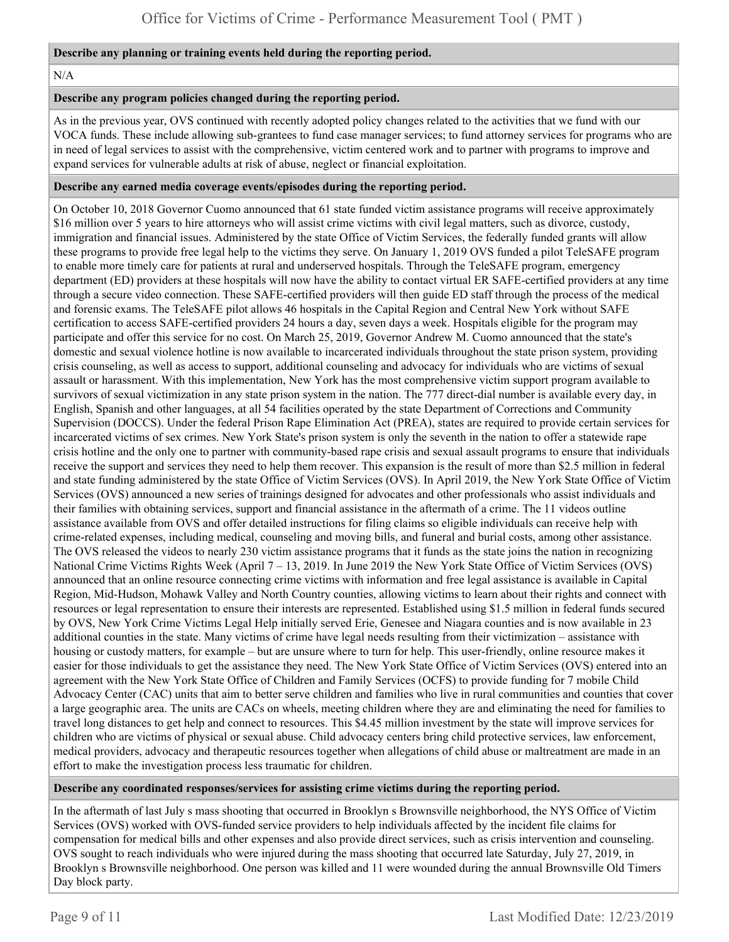#### **Describe any planning or training events held during the reporting period.**

#### N/A

#### **Describe any program policies changed during the reporting period.**

As in the previous year, OVS continued with recently adopted policy changes related to the activities that we fund with our VOCA funds. These include allowing sub-grantees to fund case manager services; to fund attorney services for programs who are in need of legal services to assist with the comprehensive, victim centered work and to partner with programs to improve and expand services for vulnerable adults at risk of abuse, neglect or financial exploitation.

#### **Describe any earned media coverage events/episodes during the reporting period.**

On October 10, 2018 Governor Cuomo announced that 61 state funded victim assistance programs will receive approximately \$16 million over 5 years to hire attorneys who will assist crime victims with civil legal matters, such as divorce, custody, immigration and financial issues. Administered by the state Office of Victim Services, the federally funded grants will allow these programs to provide free legal help to the victims they serve. On January 1, 2019 OVS funded a pilot TeleSAFE program to enable more timely care for patients at rural and underserved hospitals. Through the TeleSAFE program, emergency department (ED) providers at these hospitals will now have the ability to contact virtual ER SAFE-certified providers at any time through a secure video connection. These SAFE-certified providers will then guide ED staff through the process of the medical and forensic exams. The TeleSAFE pilot allows 46 hospitals in the Capital Region and Central New York without SAFE certification to access SAFE-certified providers 24 hours a day, seven days a week. Hospitals eligible for the program may participate and offer this service for no cost. On March 25, 2019, Governor Andrew M. Cuomo announced that the state's domestic and sexual violence hotline is now available to incarcerated individuals throughout the state prison system, providing crisis counseling, as well as access to support, additional counseling and advocacy for individuals who are victims of sexual assault or harassment. With this implementation, New York has the most comprehensive victim support program available to survivors of sexual victimization in any state prison system in the nation. The 777 direct-dial number is available every day, in English, Spanish and other languages, at all 54 facilities operated by the state Department of Corrections and Community Supervision (DOCCS). Under the federal Prison Rape Elimination Act (PREA), states are required to provide certain services for incarcerated victims of sex crimes. New York State's prison system is only the seventh in the nation to offer a statewide rape crisis hotline and the only one to partner with community-based rape crisis and sexual assault programs to ensure that individuals receive the support and services they need to help them recover. This expansion is the result of more than \$2.5 million in federal and state funding administered by the state Office of Victim Services (OVS). In April 2019, the New York State Office of Victim Services (OVS) announced a new series of trainings designed for advocates and other professionals who assist individuals and their families with obtaining services, support and financial assistance in the aftermath of a crime. The 11 videos outline assistance available from OVS and offer detailed instructions for filing claims so eligible individuals can receive help with crime-related expenses, including medical, counseling and moving bills, and funeral and burial costs, among other assistance. The OVS released the videos to nearly 230 victim assistance programs that it funds as the state joins the nation in recognizing National Crime Victims Rights Week (April 7 – 13, 2019. In June 2019 the New York State Office of Victim Services (OVS) announced that an online resource connecting crime victims with information and free legal assistance is available in Capital Region, Mid-Hudson, Mohawk Valley and North Country counties, allowing victims to learn about their rights and connect with resources or legal representation to ensure their interests are represented. Established using \$1.5 million in federal funds secured by OVS, New York Crime Victims Legal Help initially served Erie, Genesee and Niagara counties and is now available in 23 additional counties in the state. Many victims of crime have legal needs resulting from their victimization – assistance with housing or custody matters, for example – but are unsure where to turn for help. This user-friendly, online resource makes it easier for those individuals to get the assistance they need. The New York State Office of Victim Services (OVS) entered into an agreement with the New York State Office of Children and Family Services (OCFS) to provide funding for 7 mobile Child Advocacy Center (CAC) units that aim to better serve children and families who live in rural communities and counties that cover a large geographic area. The units are CACs on wheels, meeting children where they are and eliminating the need for families to travel long distances to get help and connect to resources. This \$4.45 million investment by the state will improve services for children who are victims of physical or sexual abuse. Child advocacy centers bring child protective services, law enforcement, medical providers, advocacy and therapeutic resources together when allegations of child abuse or maltreatment are made in an effort to make the investigation process less traumatic for children.

#### **Describe any coordinated responses/services for assisting crime victims during the reporting period.**

In the aftermath of last July s mass shooting that occurred in Brooklyn s Brownsville neighborhood, the NYS Office of Victim Services (OVS) worked with OVS-funded service providers to help individuals affected by the incident file claims for compensation for medical bills and other expenses and also provide direct services, such as crisis intervention and counseling. OVS sought to reach individuals who were injured during the mass shooting that occurred late Saturday, July 27, 2019, in Brooklyn s Brownsville neighborhood. One person was killed and 11 were wounded during the annual Brownsville Old Timers Day block party.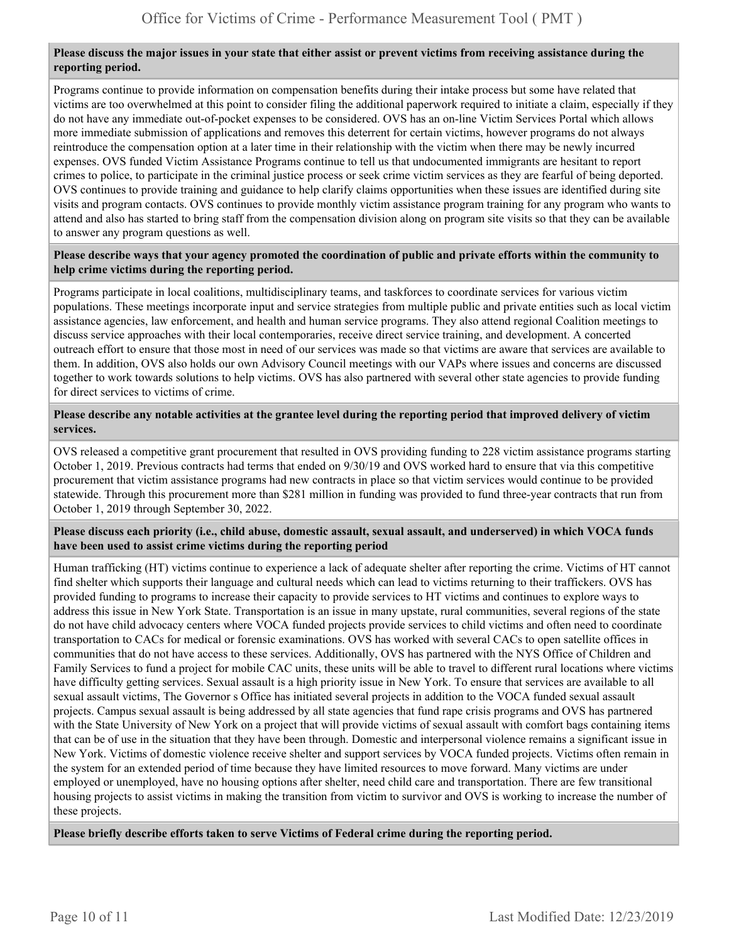#### **Please discuss the major issues in your state that either assist or prevent victims from receiving assistance during the reporting period.**

Programs continue to provide information on compensation benefits during their intake process but some have related that victims are too overwhelmed at this point to consider filing the additional paperwork required to initiate a claim, especially if they do not have any immediate out-of-pocket expenses to be considered. OVS has an on-line Victim Services Portal which allows more immediate submission of applications and removes this deterrent for certain victims, however programs do not always reintroduce the compensation option at a later time in their relationship with the victim when there may be newly incurred expenses. OVS funded Victim Assistance Programs continue to tell us that undocumented immigrants are hesitant to report crimes to police, to participate in the criminal justice process or seek crime victim services as they are fearful of being deported. OVS continues to provide training and guidance to help clarify claims opportunities when these issues are identified during site visits and program contacts. OVS continues to provide monthly victim assistance program training for any program who wants to attend and also has started to bring staff from the compensation division along on program site visits so that they can be available to answer any program questions as well.

#### **Please describe ways that your agency promoted the coordination of public and private efforts within the community to help crime victims during the reporting period.**

Programs participate in local coalitions, multidisciplinary teams, and taskforces to coordinate services for various victim populations. These meetings incorporate input and service strategies from multiple public and private entities such as local victim assistance agencies, law enforcement, and health and human service programs. They also attend regional Coalition meetings to discuss service approaches with their local contemporaries, receive direct service training, and development. A concerted outreach effort to ensure that those most in need of our services was made so that victims are aware that services are available to them. In addition, OVS also holds our own Advisory Council meetings with our VAPs where issues and concerns are discussed together to work towards solutions to help victims. OVS has also partnered with several other state agencies to provide funding for direct services to victims of crime.

#### **Please describe any notable activities at the grantee level during the reporting period that improved delivery of victim services.**

OVS released a competitive grant procurement that resulted in OVS providing funding to 228 victim assistance programs starting October 1, 2019. Previous contracts had terms that ended on 9/30/19 and OVS worked hard to ensure that via this competitive procurement that victim assistance programs had new contracts in place so that victim services would continue to be provided statewide. Through this procurement more than \$281 million in funding was provided to fund three-year contracts that run from October 1, 2019 through September 30, 2022.

#### **Please discuss each priority (i.e., child abuse, domestic assault, sexual assault, and underserved) in which VOCA funds have been used to assist crime victims during the reporting period**

Human trafficking (HT) victims continue to experience a lack of adequate shelter after reporting the crime. Victims of HT cannot find shelter which supports their language and cultural needs which can lead to victims returning to their traffickers. OVS has provided funding to programs to increase their capacity to provide services to HT victims and continues to explore ways to address this issue in New York State. Transportation is an issue in many upstate, rural communities, several regions of the state do not have child advocacy centers where VOCA funded projects provide services to child victims and often need to coordinate transportation to CACs for medical or forensic examinations. OVS has worked with several CACs to open satellite offices in communities that do not have access to these services. Additionally, OVS has partnered with the NYS Office of Children and Family Services to fund a project for mobile CAC units, these units will be able to travel to different rural locations where victims have difficulty getting services. Sexual assault is a high priority issue in New York. To ensure that services are available to all sexual assault victims, The Governor s Office has initiated several projects in addition to the VOCA funded sexual assault projects. Campus sexual assault is being addressed by all state agencies that fund rape crisis programs and OVS has partnered with the State University of New York on a project that will provide victims of sexual assault with comfort bags containing items that can be of use in the situation that they have been through. Domestic and interpersonal violence remains a significant issue in New York. Victims of domestic violence receive shelter and support services by VOCA funded projects. Victims often remain in the system for an extended period of time because they have limited resources to move forward. Many victims are under employed or unemployed, have no housing options after shelter, need child care and transportation. There are few transitional housing projects to assist victims in making the transition from victim to survivor and OVS is working to increase the number of these projects.

**Please briefly describe efforts taken to serve Victims of Federal crime during the reporting period.**